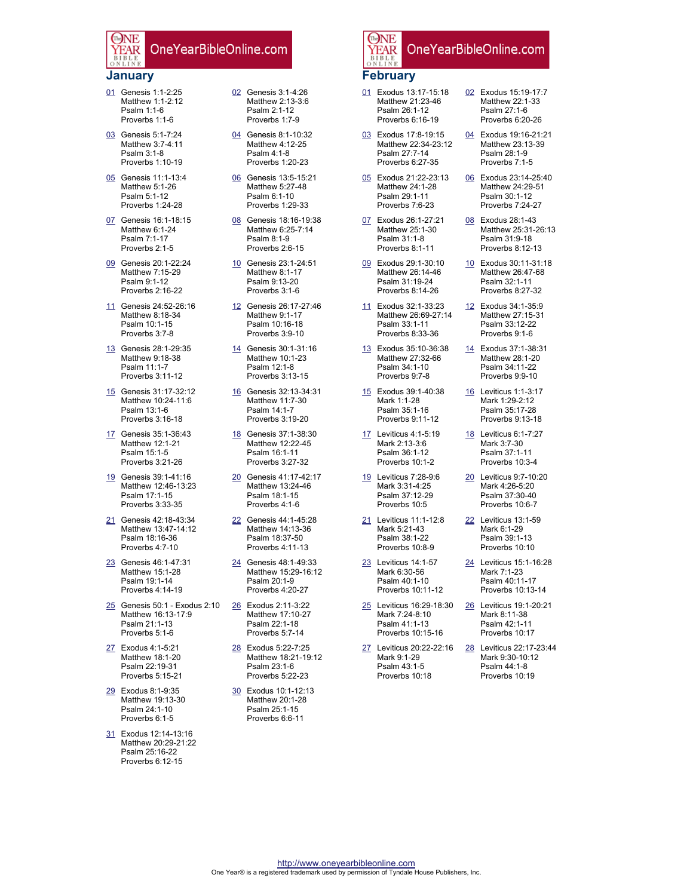### **January**

EAR

The NF

- 01 Genesis 1:1-2:25 Matthew 1:1-2:12 Psalm 1:1-6 Proverbs 1:1-6
- 03 Genesis 5:1-7:24 Matthew 3:7-4:11 Psalm 3:1-8 Proverbs 1:10-19
- 05 Genesis 11:1-13:4 Matthew 5:1-26 Psalm 5:1-12 Proverbs 1:24-28
- 07 Genesis 16:1-18:15 Matthew 6:1-24 Psalm 7:1-17 Proverbs 2:1-5
- 09 Genesis 20:1-22:24 Matthew 7:15-29 Psalm 9:1-12 Proverbs 2:16-22
- 11 Genesis 24:52-26:16 Matthew 8:18-34 Psalm 10:1-15 Proverbs 3:7-8
- 13 Genesis 28:1-29:35 Matthew 9:18-38 Psalm 11:1-7 Proverbs 3:11-12
- 15 Genesis 31:17-32:12 Matthew 10:24-11:6 Psalm 13:1-6 Proverbs 3:16-18
- 17 Genesis 35:1-36:43 Matthew 12:1-21 Psalm 15:1-5 Proverbs 3:21-26
- 19 Genesis 39:1-41:16 Matthew 12:46-13:23 Psalm 17:1-15 Proverbs 3:33-35
- 21 Genesis 42:18-43:34 Matthew 13:47-14:12 Psalm 18:16-36 Proverbs 4:7-10
- 23 Genesis 46:1-47:31 Matthew 15:1-28 Psalm 19:1-14 Proverbs 4:14-19
- 25 Genesis 50:1 Exodus 2:10 Matthew 16:13-17:9 Psalm 21:1-13 Proverbs 5:1-6
- 27 Exodus 4:1-5:21 Matthew 18:1-20 Psalm 22:19-31 Proverbs 5:15-21
- 29 Exodus 8:1-9:35 Matthew 19:13-30 Psalm 24:1-10 Proverbs 6:1-5
- 31 Exodus 12:14-13:16 Matthew 20:29-21:22 Psalm 25:16-22 Proverbs 6:12-15
- 02 Genesis 3:1-4:26 Matthew 2:13-3:6 Psalm 2:1-12 Proverbs 1:7-9
- 04 Genesis 8:1-10:32 Matthew 4:12-25 Psalm 4:1-8 Proverbs 1:20-23
- 06 Genesis 13:5-15:21 Matthew 5:27-48 Psalm 6:1-10 Proverbs 1:29-33
- 08 Genesis 18:16-19:38 Matthew 6:25-7:14 Psalm 8:1-9 Proverbs 2:6-15
- 10 Genesis 23:1-24:51 Matthew 8:1-17 Psalm 9:13-20 Proverbs 3:1-6
- 12 Genesis 26:17-27:46 Matthew 9:1-17 Psalm 10:16-18 Proverbs 3:9-10
- 14 Genesis 30:1-31:16 Matthew 10:1-23 Psalm 12:1-8 Proverbs 3:13-15
- 16 Genesis 32:13-34:31 Matthew 11:7-30 Psalm 14:1-7 Proverbs 3:19-20
- 18 Genesis 37:1-38:30 Matthew 12:22-45 Psalm 16:1-11 Proverbs 3:27-32
- 20 Genesis 41:17-42:17 Matthew 13:24-46 Psalm 18:1-15 Proverbs 4:1-6
- 22 Genesis 44:1-45:28 Matthew 14:13-36 Psalm 18:37-50 Proverbs 4:11-13
- 24 Genesis 48:1-49:33 Matthew 15:29-16:12 Psalm 20:1-9 Proverbs 4:20-27
- 26 Exodus 2:11-3:22 Matthew 17:10-27 Psalm 22:1-18 Proverbs 5:7-14
- 28 Exodus 5:22-7:25 Matthew 18:21-19:12 Psalm 23:1-6 Proverbs 5:22-23
- 30 Exodus 10:1-12:13 Matthew 20:1-28 Psalm 25:1-15 Proverbs 6:6-11

#### The NE OneYearBibleOnline.com EAR **February**

- 01 Exodus 13:17-15:18 Matthew 21:23-46 Psalm 26:1-12 Proverbs 6:16-19
- 03 Exodus 17:8-19:15 Matthew 22:34-23:12 Psalm 27:7-14 Proverbs 6:27-35
- 05 Exodus 21:22-23:13 Matthew 24:1-28 Psalm 29:1-11 Proverbs 7:6-23
- 07 Exodus 26:1-27:21 Matthew 25:1-30 Psalm 31:1-8 Proverbs 8:1-11
- 09 Exodus 29:1-30:10 Matthew 26:14-46 Psalm 31:19-24 Proverbs 8:14-26
- 11 Exodus 32:1-33:23 Matthew 26:69-27:14 Psalm 33:1-11 Proverbs 8:33-36
- 13 Exodus 35:10-36:38 Matthew 27:32-66 Psalm 34:1-10 Proverbs 9:7-8
- 15 Exodus 39:1-40:38 Mark 1:1-28 Psalm 35:1-16 Proverbs 9:11-12
- 17 Leviticus 4:1-5:19 Mark 2:13-3:6 Psalm 36:1-12 Proverbs 10:1-2
- 19 Leviticus 7:28-9:6 Mark 3:31-4:25 Psalm 37:12-29 Proverbs 10:5
- 21 Leviticus 11:1-12:8 Mark 5:21-43 Psalm 38:1-22 Proverbs 10:8-9
- 23 Leviticus 14:1-57 Mark 6:30-56 Psalm 40:1-10 Proverbs 10:11-12
- 25 Leviticus 16:29-18:30 Mark 7:24-8:10 Psalm 41:1-13 Proverbs 10:15-16
- 27 Leviticus 20:22-22:16 Mark 9:1-29 Psalm 43:1-5 Proverbs 10:18
- Matthew 22:1-33 Psalm 27:1-6 Proverbs 6:20-26
- 04 Exodus 19:16-21:21 Matthew 23:13-39 Psalm 28:1-9 Proverbs 7:1-5
- 06 Exodus 23:14-25:40 Matthew 24:29-51 Psalm 30:1-12 Proverbs 7:24-27
- 08 Exodus 28:1-43 Matthew 25:31-26:13 Psalm 31:9-18 Proverbs 8:12-13
- 10 Exodus 30:11-31:18 Matthew 26:47-68 Psalm 32:1-11 Proverbs 8:27-32
- 12 Exodus 34:1-35:9 Matthew 27:15-31 Psalm 33:12-22 Proverbs 9:1-6
- 14 Exodus 37:1-38:31 Matthew 28:1-20 Psalm 34:11-22 Proverbs 9:9-10
- 16 Leviticus 1:1-3:17 Mark 1:29-2:12 Psalm 35:17-28 Proverbs 9:13-18
- 18 Leviticus 6:1-7:27 Mark 3:7-30 Psalm 37:1-11 Proverbs 10:3-4
- 20 Leviticus 9:7-10:20 Mark 4:26-5:20 Psalm 37:30-40 Proverbs 10:6-7
- 22 Leviticus 13:1-59 Mark 6:1-29 Psalm 39:1-13 Proverbs 10:10
- 24 Leviticus 15:1-16:28 Mark 7:1-23 Psalm 40:11-17 Proverbs 10:13-14
- 26 Leviticus 19:1-20:21 Mark 8:11-38 Psalm 42:1-11 Proverbs 10:17
- 28 Leviticus 22:17-23:44 Mark 9:30-10:12 Psalm 44:1-8 Proverbs 10:19

02 Exodus 15:19-17:7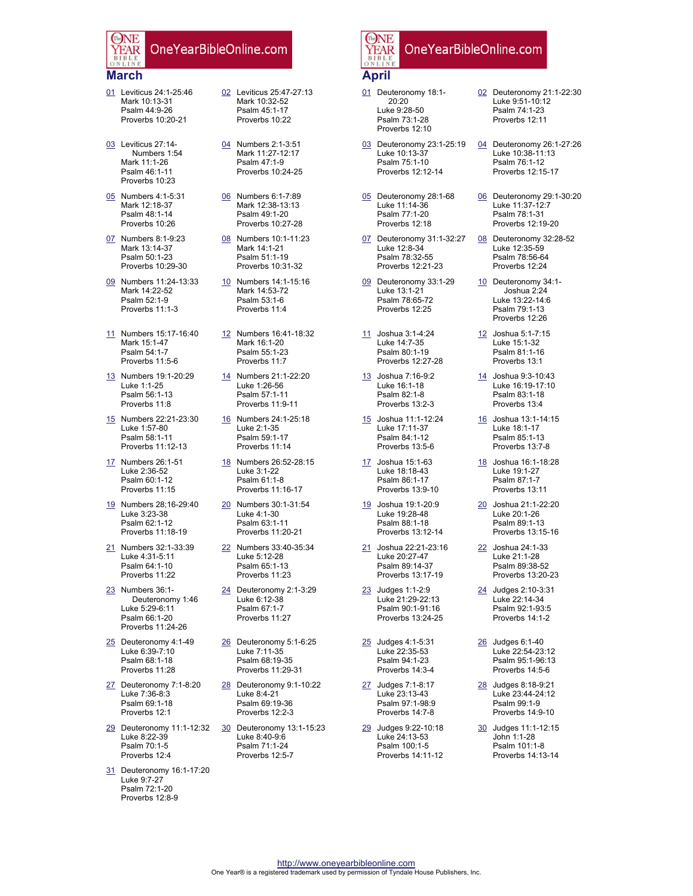#### **March**

The NF

EAR

- 01 Leviticus 24:1-25:46 Mark 10:13-31 Psalm 44:9-26 Proverbs 10:20-21
- 03 Leviticus 27:14- Numbers 1:54 Mark 11:1-26 Psalm 46:1-11 Proverbs 10:23
- 05 Numbers 4:1-5:31 Mark 12:18-37 Psalm 48:1-14 Proverbs 10:26
- 07 Numbers 8:1-9:23 Mark 13:14-37 Psalm 50:1-23 Proverbs 10:29-30
- 09 Numbers 11:24-13:33 Mark 14:22-52 Psalm 52:1-9 Proverbs 11:1-3
- 11 Numbers 15:17-16:40 Mark 15:1-47 Psalm 54:1-7 Proverbs 11:5-6
- 13 Numbers 19:1-20:29 Luke 1:1-25 Psalm 56:1-13 Proverbs 11:8
- 15 Numbers 22:21-23:30 Luke 1:57-80 Psalm 58:1-11 Proverbs 11:12-13
- 17 Numbers 26:1-51 Luke 2:36-52 Psalm 60:1-12 Proverbs 11:15
- 19 Numbers 28;16-29:40 Luke 3:23-38 Psalm 62:1-12 Proverbs 11:18-19
- 21 Numbers 32:1-33:39 Luke 4:31-5:11 Psalm 64:1-10 Proverbs 11:22
- 23 Numbers 36:1- Deuteronomy 1:46 Luke 5:29-6:11 Psalm 66:1-20 Proverbs 11:24-26
- 25 Deuteronomy 4:1-49 Luke 6:39-7:10 Psalm 68:1-18 Proverbs 11:28
- 27 Deuteronomy 7:1-8:20 Luke 7:36-8:3 Psalm 69:1-18 Proverbs 12:1
- 29 Deuteronomy 11:1-12:32 Luke 8:22-39 Psalm 70:1-5 Proverbs 12:4
- 31 Deuteronomy 16:1-17:20 Luke 9:7-27 Psalm 72:1-20 Proverbs 12:8-9
- 02 Leviticus 25:47-27:13 Mark 10:32-52 Psalm 45:1-17 Proverbs 10:22
- 04 Numbers 2:1-3:51 Mark 11:27-12:17 Psalm 47:1-9 Proverbs 10:24-25
- 06 Numbers 6:1-7:89 Mark 12:38-13:13 Psalm 49:1-20 Proverbs 10:27-28
- 08 Numbers 10:1-11:23 Mark 14:1-21 Psalm 51:1-19 Proverbs 10:31-32
- 10 Numbers 14:1-15:16 Mark 14:53-72 Psalm 53:1-6 Proverbs 11:4
- 12 Numbers 16:41-18:32 Mark 16:1-20 Psalm 55:1-23 Proverbs 11:7
- 14 Numbers 21:1-22:20 Luke 1:26-56 Psalm 57:1-11 Proverbs 11:9-11
- 16 Numbers 24:1-25:18 Luke 2:1-35 Psalm 59:1-17 Proverbs 11:14
- 18 Numbers 26:52-28:15 Luke 3:1-22 Psalm 61:1-8 Proverbs 11:16-17
- 20 Numbers 30:1-31:54 Luke 4:1-30 Psalm 63:1-11 Proverbs 11:20-21
- 22 Numbers 33:40-35:34 Luke 5:12-28 Psalm 65:1-13 Proverbs 11:23
- 24 Deuteronomy 2:1-3:29 Luke 6:12-38 Psalm 67:1-7 Proverbs 11:27
- 26 Deuteronomy 5:1-6:25 Luke 7:11-35 Psalm 68:19-35 Proverbs 11:29-31
- 28 Deuteronomy 9:1-10:22 Luke 8:4-21 Psalm 69:19-36 Proverbs 12:2-3
- 30 Deuteronomy 13:1-15:23 Luke 8:40-9:6 Psalm 71:1-24 Proverbs 12:5-7

#### The NE OneYearBibleOnline.com YEAR **April**

- 01 Deuteronomy 18:1- 20:20 Luke 9:28-50 Psalm 73:1-28 Proverbs 12:10
- 03 Deuteronomy 23:1-25:19 Luke 10:13-37 Psalm 75:1-10 Proverbs 12:12-14
- 05 Deuteronomy 28:1-68 Luke 11:14-36 Psalm 77:1-20 Proverbs 12:18
- 07 Deuteronomy 31:1-32:27 Luke 12:8-34 Psalm 78:32-55 Proverbs 12:21-23
- 09 Deuteronomy 33:1-29 Luke 13:1-21 Psalm 78:65-72 Proverbs 12:25
- 11 Joshua 3:1-4:24 Luke 14:7-35 Psalm 80:1-19 Proverbs 12:27-28
- 13 Joshua 7:16-9:2 Luke 16:1-18 Psalm 82:1-8 Proverbs 13:2-3
- 15 Joshua 11:1-12:24 Luke 17:11-37 Psalm 84:1-12 Proverbs 13:5-6
- 17 Joshua 15:1-63 Luke 18:18-43 Psalm 86:1-17 Proverbs 13:9-10
- 19 Joshua 19:1-20:9 Luke 19:28-48 Psalm 88:1-18
- Proverbs 13:12-14 21 Joshua 22:21-23:16 Luke 20:27-47 Psalm 89:14-37

Proverbs 13:17-19

- 23 Judges 1:1-2:9 Luke 21:29-22:13 Psalm 90:1-91:16 Proverbs 13:24-25
- 25 Judges 4:1-5:31 Luke 22:35-53 Psalm 94:1-23 Proverbs 14:3-4
- 27 Judges 7:1-8:17 Luke 23:13-43 Psalm 97:1-98:9 Proverbs 14:7-8
- 29 Judges 9:22-10:18 Luke 24:13-53 Psalm 100:1-5 Proverbs 14:11-12
- 02 Deuteronomy 21:1-22:30 Luke 9:51-10:12 Psalm 74:1-23 Proverbs 12:11
- 04 Deuteronomy 26:1-27:26 Luke 10:38-11:13 Psalm 76:1-12 Proverbs 12:15-17
- 06 Deuteronomy 29:1-30:20 Luke 11:37-12:7 Psalm 78:1-31 Proverbs 12:19-20
- 08 Deuteronomy 32:28-52 Luke 12:35-59 Psalm 78:56-64 Proverbs 12:24
- 10 Deuteronomy 34:1- Joshua 2:24 Luke 13:22-14:6 Psalm 79:1-13 Proverbs 12:26
- 12 Joshua 5:1-7:15 Luke 15:1-32 Psalm 81:1-16 Proverbs 13:1
- 14 Joshua 9:3-10:43 Luke 16:19-17:10 Psalm 83:1-18 Proverbs 13:4
- 16 Joshua 13:1-14:15 Luke 18:1-17 Psalm 85:1-13 Proverbs 13:7-8
- 18 Joshua 16:1-18:28 Luke 19:1-27 Psalm 87:1-7 Proverbs 13:11
- 20 Joshua 21:1-22:20 Luke 20:1-26 Psalm 89:1-13 Proverbs 13:15-16
- 22 Joshua 24:1-33 Luke 21:1-28 Psalm 89:38-52 Proverbs 13:20-23
- 24 Judges 2:10-3:31 Luke 22:14-34 Psalm 92:1-93:5 Proverbs 14:1-2
- 26 Judges 6:1-40 Luke 22:54-23:12 Psalm 95:1-96:13 Proverbs 14:5-6
- 28 Judges 8:18-9:21 Luke 23:44-24:12 Psalm 99:1-9 Proverbs 14:9-10
- 30 Judges 11:1-12:15 John 1:1-28 Psalm 101:1-8 Proverbs 14:13-14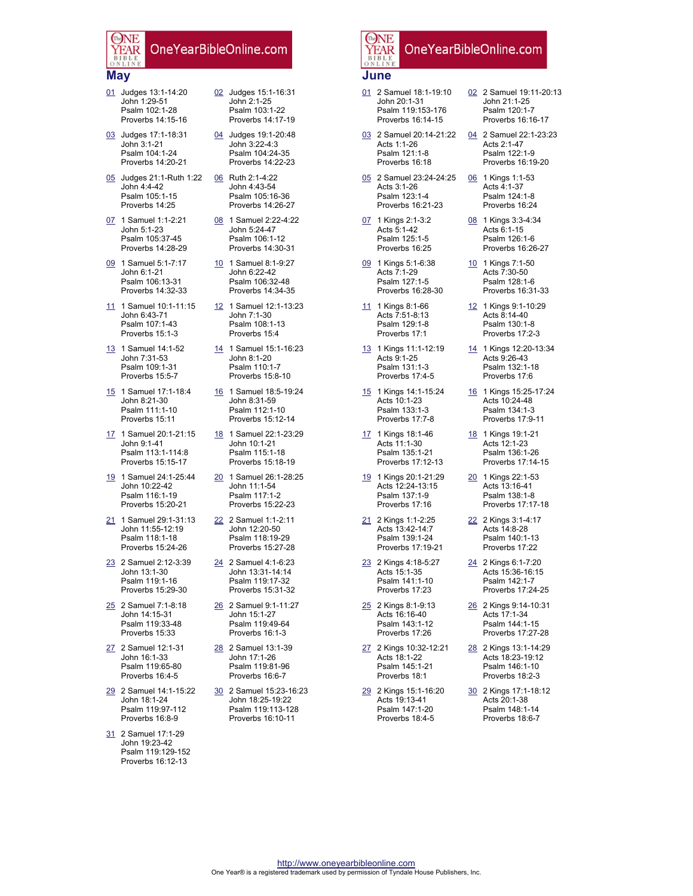#### **May**

The NF

EAR

- 01 Judges 13:1-14:20 John 1:29-51 Psalm 102:1-28 Proverbs 14:15-16
- 03 Judges 17:1-18:31 John 3:1-21 Psalm 104:1-24 Proverbs 14:20-21
- 05 Judges 21:1-Ruth 1:22 John 4:4-42 Psalm 105:1-15 Proverbs 14:25
- 07 1 Samuel 1:1-2:21 John 5:1-23 Psalm 105:37-45 Proverbs 14:28-29
- 09 1 Samuel 5:1-7:17 John 6:1-21 Psalm 106:13-31 Proverbs 14:32-33
- 11 1 Samuel 10:1-11:15 John 6:43-71 Psalm 107:1-43 Proverbs 15:1-3
- 13 1 Samuel 14:1-52 John 7:31-53 Psalm 109:1-31 Proverbs 15:5-7
- 15 1 Samuel 17:1-18:4 John 8:21-30 Psalm 111:1-10 Proverbs 15:11
- 17 1 Samuel 20:1-21:15 John 9:1-41 Psalm 113:1-114:8 Proverbs 15:15-17
- 19 1 Samuel 24:1-25:44 John 10:22-42 Psalm 116:1-19 Proverbs 15:20-21
- 21 1 Samuel 29:1-31:13 John 11:55-12:19 Psalm 118:1-18 Proverbs 15:24-26
- 23 2 Samuel 2:12-3:39 John 13:1-30 Psalm 119:1-16 Proverbs 15:29-30
- 25 2 Samuel 7:1-8:18 John 14:15-31 Psalm 119:33-48 Proverbs 15:33
- 27 2 Samuel 12:1-31 John 16:1-33 Psalm 119:65-80 Proverbs 16:4-5
- 29 2 Samuel 14:1-15:22 John 18:1-24 Psalm 119:97-112 Proverbs 16:8-9
- 31 2 Samuel 17:1-29 John 19:23-42 Psalm 119:129-152 Proverbs 16:12-13
- 02 Judges 15:1-16:31 John 2:1-25 Psalm 103:1-22 Proverbs 14:17-19
- 04 Judges 19:1-20:48 John 3:22-4:3 Psalm 104:24-35 Proverbs 14:22-23
- 06 Ruth 2:1-4:22 John 4:43-54 Psalm 105:16-36 Proverbs 14:26-27
- 08 1 Samuel 2:22-4:22 John 5:24-47 Psalm 106:1-12 Proverbs 14:30-31
- 10 1 Samuel 8:1-9:27 John 6:22-42 Psalm 106:32-48 Proverbs 14:34-35
- 12 1 Samuel 12:1-13:23 John 7:1-30 Psalm 108:1-13 Proverbs 15:4
- 14 1 Samuel 15:1-16:23 John 8:1-20 Psalm 110:1-7 Proverbs 15:8-10
- 16 1 Samuel 18:5-19:24 John 8:31-59 Psalm 112:1-10 Proverbs 15:12-14
- 18 1 Samuel 22:1-23:29 John 10:1-21 Psalm 115:1-18 Proverbs 15:18-19
- 20 1 Samuel 26:1-28:25 John 11:1-54 Psalm 117:1-2 Proverbs 15:22-23
- 22 2 Samuel 1:1-2:11 John 12:20-50 Psalm 118:19-29 Proverbs 15:27-28
- 24 2 Samuel 4:1-6:23 John 13:31-14:14 Psalm 119:17-32 Proverbs 15:31-32
- 26 2 Samuel 9:1-11:27 John 15:1-27 Psalm 119:49-64 Proverbs 16:1-3
- 28 2 Samuel 13:1-39 John 17:1-26 Psalm 119:81-96 Proverbs 16:6-7
- 30 2 Samuel 15:23-16:23 John 18:25-19:22 Psalm 119:113-128 Proverbs 16:10-11

#### The NE OneYearBibleOnline.com YEAR **June**

- 01 2 Samuel 18:1-19:10 John 20:1-31 Psalm 119:153-176 Proverbs 16:14-15
- 03 2 Samuel 20:14-21:22 Acts 1:1-26 Psalm 121:1-8 Proverbs 16:18
- 05 2 Samuel 23:24-24:25 Acts 3:1-26 Psalm 123:1-4 Proverbs 16:21-23
- 07 1 Kings 2:1-3:2 Acts 5:1-42 Psalm 125:1-5 Proverbs 16:25
- 09 1 Kings 5:1-6:38 Acts 7:1-29 Psalm 127:1-5 Proverbs 16:28-30
- 11 1 Kings 8:1-66 Acts 7:51-8:13 Psalm 129:1-8 Proverbs 17:1
- 13 1 Kings 11:1-12:19 Acts 9:1-25 Psalm 131:1-3 Proverbs 17:4-5
- 15 1 Kings 14:1-15:24 Acts 10:1-23 Psalm 133:1-3 Proverbs 17:7-8
- 17 1 Kings 18:1-46 Acts 11:1-30 Psalm 135:1-21 Proverbs 17:12-13
- 19 1 Kings 20:1-21:29 Acts 12:24-13:15 Psalm 137:1-9 Proverbs 17:16
- 21 2 Kings 1:1-2:25 Acts 13:42-14:7 Psalm 139:1-24 Proverbs 17:19-21
- 23 2 Kings 4:18-5:27 Acts 15:1-35 Psalm 141:1-10 Proverbs 17:23
- 25 2 Kings 8:1-9:13 Acts 16:16-40 Psalm 143:1-12 Proverbs 17:26
- 27 2 Kings 10:32-12:21 Acts 18:1-22 Psalm 145:1-21 Proverbs 18:1
- 29 2 Kings 15:1-16:20 Acts 19:13-41 Psalm 147:1-20 Proverbs 18:4-5
- 02 2 Samuel 19:11-20:13 John 21:1-25 Psalm 120:1-7 Proverbs 16:16-17
- 04 2 Samuel 22:1-23:23 Acts 2:1-47 Psalm 122:1-9 Proverbs 16:19-20
- 06 1 Kings 1:1-53 Acts 4:1-37 Psalm 124:1-8 Proverbs 16:24
- 08 1 Kings 3:3-4:34 Acts 6:1-15 Psalm 126:1-6 Proverbs 16:26-27
- 10 1 Kings 7:1-50 Acts 7:30-50 Psalm 128:1-6 Proverbs 16:31-33
- 12 1 Kings 9:1-10:29 Acts 8:14-40 Psalm 130:1-8 Proverbs 17:2-3
- 14 1 Kings 12:20-13:34 Acts 9:26-43 Psalm 132:1-18 Proverbs 17:6
- 16 1 Kings 15:25-17:24 Acts 10:24-48 Psalm 134:1-3 Proverbs 17:9-11
- 18 1 Kings 19:1-21 Acts 12:1-23 Psalm 136:1-26 Proverbs 17:14-15
- 20 1 Kings 22:1-53 Acts 13:16-41 Psalm 138:1-8 Proverbs 17:17-18
- 22 2 Kings 3:1-4:17 Acts 14:8-28 Psalm 140:1-13 Proverbs 17:22
- 24 2 Kings 6:1-7:20 Acts 15:36-16:15 Psalm 142:1-7 Proverbs 17:24-25
- 26 2 Kings 9:14-10:31 Acts 17:1-34 Psalm 144:1-15 Proverbs 17:27-28
- 28 2 Kings 13:1-14:29 Acts 18:23-19:12 Psalm 146:1-10 Proverbs 18:2-3
- 30 2 Kings 17:1-18:12 Acts 20:1-38 Psalm 148:1-14 Proverbs 18:6-7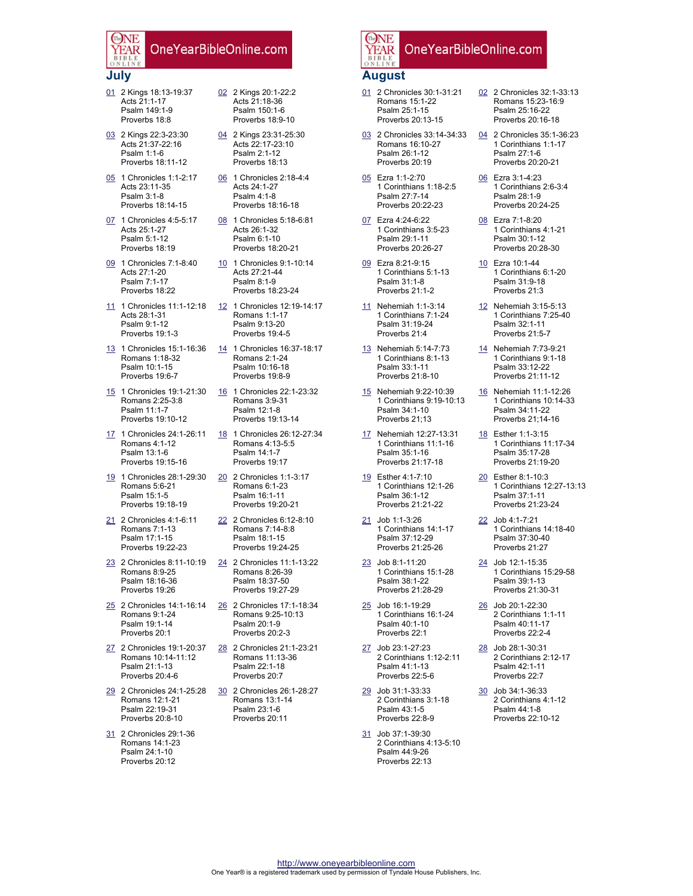#### **July**

The NF

EAR

- 01 2 Kings 18:13-19:37 Acts 21:1-17 Psalm 149:1-9 Proverbs 18:8
- 03 2 Kings 22:3-23:30 Acts 21:37-22:16 Psalm 1:1-6 Proverbs 18:11-12
- 05 1 Chronicles 1:1-2:17 Acts 23:11-35 Psalm 3:1-8 Proverbs 18:14-15
- 07 1 Chronicles 4:5-5:17 Acts 25:1-27 Psalm 5:1-12 Proverbs 18:19
- 09 1 Chronicles 7:1-8:40 Acts 27:1-20 Psalm 7:1-17 Proverbs 18:22
- 11 1 Chronicles 11:1-12:18 Acts 28:1-31 Psalm 9:1-12 Proverbs 19:1-3
- 13 1 Chronicles 15:1-16:36 Romans 1:18-32 Psalm 10:1-15 Proverbs 19:6-7
- 15 1 Chronicles 19:1-21:30 Romans 2:25-3:8 Psalm 11:1-7 Proverbs 19:10-12
- 17 1 Chronicles 24:1-26:11 Romans 4:1-12 Psalm 13:1-6 Proverbs 19:15-16
- 19 1 Chronicles 28:1-29:30 Romans 5:6-21 Psalm 15:1-5 Proverbs 19:18-19
- 21 2 Chronicles 4:1-6:11 Romans 7:1-13 Psalm 17:1-15 Proverbs 19:22-23
- 23 2 Chronicles 8:11-10:19 Romans 8:9-25 Psalm 18:16-36 Proverbs 19:26
- 25 2 Chronicles 14:1-16:14 Romans 9:1-24 Psalm 19:1-14 Proverbs 20:1
- 27 2 Chronicles 19:1-20:37 Romans 10:14-11:12 Psalm 21:1-13 Proverbs 20:4-6
- 29 2 Chronicles 24:1-25:28 Romans 12:1-21 Psalm 22:19-31 Proverbs 20:8-10
- 31 2 Chronicles 29:1-36 Romans 14:1-23 Psalm 24:1-10 Proverbs 20:12
- 02 2 Kings 20:1-22:2 Acts 21:18-36 Psalm 150:1-6 Proverbs 18:9-10
- 04 2 Kings 23:31-25:30 Acts 22:17-23:10 Psalm 2:1-12 Proverbs 18:13
- 06 1 Chronicles 2:18-4:4 Acts 24:1-27 Psalm 4:1-8 Proverbs 18:16-18
- 08 1 Chronicles 5:18-6:81 Acts 26:1-32 Psalm 6:1-10 Proverbs 18:20-21
- 10 1 Chronicles 9:1-10:14 Acts 27:21-44 Psalm 8:1-9 Proverbs 18:23-24
- 12 1 Chronicles 12:19-14:17 Romans 1:1-17 Psalm 9:13-20 Proverbs 19:4-5
- 14 1 Chronicles 16:37-18:17 Romans 2:1-24 Psalm 10:16-18 Proverbs 19:8-9
- 16 1 Chronicles 22:1-23:32 Romans 3:9-31 Psalm 12:1-8 Proverbs 19:13-14
- 18 1 Chronicles 26:12-27:34 Romans 4:13-5:5 Psalm 14:1-7 Proverbs 19:17
- 20 2 Chronicles 1:1-3:17 Romans 6:1-23 Psalm 16:1-11 Proverbs 19:20-21
- 22 2 Chronicles 6:12-8:10 Romans 7:14-8:8 Psalm 18:1-15 Proverbs 19:24-25
- 24 2 Chronicles 11:1-13:22 Romans 8:26-39 Psalm 18:37-50 Proverbs 19:27-29
- 26 2 Chronicles 17:1-18:34 Romans 9:25-10:13 Psalm 20:1-9 Proverbs 20:2-3
- 28 2 Chronicles 21:1-23:21 Romans 11:13-36 Psalm 22:1-18 Proverbs 20:7
- 30 2 Chronicles 26:1-28:27 Romans 13:1-14 Psalm 23:1-6 Proverbs 20:11

#### The NE OneYearBibleOnline.com YEAR **August**

- 01 2 Chronicles 30:1-31:21 Romans 15:1-22 Psalm 25:1-15 Proverbs 20:13-15
- 03 2 Chronicles 33:14-34:33 Romans 16:10-27 Psalm 26:1-12 Proverbs 20:19
- 05 Ezra 1:1-2:70 1 Corinthians 1:18-2:5 Psalm 27:7-14 Proverbs 20:22-23
- 07 Ezra 4:24-6:22 1 Corinthians 3:5-23 Psalm 29:1-11 Proverbs 20:26-27
- 09 Ezra 8:21-9:15 1 Corinthians 5:1-13 Psalm 31:1-8 Proverbs 21:1-2
- 11 Nehemiah 1:1-3:14 1 Corinthians 7:1-24 Psalm 31:19-24 Proverbs 21:4
- 13 Nehemiah 5:14-7:73 1 Corinthians 8:1-13 Psalm 33:1-11 Proverbs 21:8-10
- 15 Nehemiah 9:22-10:39 1 Corinthians 9:19-10:13 Psalm 34:1-10 Proverbs 21;13
- 17 Nehemiah 12:27-13:31 1 Corinthians 11:1-16 Psalm 35:1-16 Proverbs 21:17-18
- 19 Esther 4:1-7:10 1 Corinthians 12:1-26 Psalm 36:1-12 Proverbs 21:21-22
- 21 Job 1:1-3:26 1 Corinthians 14:1-17 Psalm 37:12-29 Proverbs 21:25-26
- 23 Job 8:1-11:20 1 Corinthians 15:1-28 Psalm 38:1-22 Proverbs 21:28-29
- 25 Job 16:1-19:29 1 Corinthians 16:1-24 Psalm 40:1-10 Proverbs 22:1
- 27 Job 23:1-27:23 2 Corinthians 1:12-2:11 Psalm 41:1-13 Proverbs 22:5-6
- 29 Job 31:1-33:33 2 Corinthians 3:1-18 Psalm 43:1-5 Proverbs 22:8-9
- 31 Job 37:1-39:30 2 Corinthians 4:13-5:10 Psalm 44:9-26 Proverbs 22:13
- 02 2 Chronicles 32:1-33:13 Romans 15:23-16:9 Psalm 25:16-22 Proverbs 20:16-18
- 04 2 Chronicles 35:1-36:23 1 Corinthians 1:1-17 Psalm 27:1-6 Proverbs 20:20-21
- 06 Ezra 3:1-4:23 1 Corinthians 2:6-3:4 Psalm 28:1-9 Proverbs 20:24-25
- 08 Ezra 7:1-8:20 1 Corinthians 4:1-21 Psalm 30:1-12 Proverbs 20:28-30
- 10 Ezra 10:1-44 1 Corinthians 6:1-20 Psalm 31:9-18 Proverbs 21:3
- 12 Nehemiah 3:15-5:13 1 Corinthians 7:25-40 Psalm 32:1-11 Proverbs 21:5-7
- 14 Nehemiah 7:73-9:21 1 Corinthians 9:1-18 Psalm 33:12-22 Proverbs 21:11-12
- 16 Nehemiah 11:1-12:26 1 Corinthians 10:14-33 Psalm 34:11-22 Proverbs 21;14-16
- 18 Esther 1:1-3:15 1 Corinthians 11:17-34 Psalm 35:17-28 Proverbs 21:19-20
- 20 Esther 8:1-10:3 1 Corinthians 12:27-13:13 Psalm 37:1-11 Proverbs 21:23-24
- 22 Job 4:1-7:21 1 Corinthians 14:18-40 Psalm 37:30-40 Proverbs 21:27
- 24 Job 12:1-15:35 1 Corinthians 15:29-58 Psalm 39:1-13 Proverbs 21:30-31
- 26 Job 20:1-22:30 2 Corinthians 1:1-11 Psalm 40:11-17 Proverbs 22:2-4
- 28 Job 28:1-30:31 2 Corinthians 2:12-17 Psalm 42:1-11 Proverbs 22:7
- 30 Job 34:1-36:33 2 Corinthians 4:1-12 Psalm 44:1-8 Proverbs 22:10-12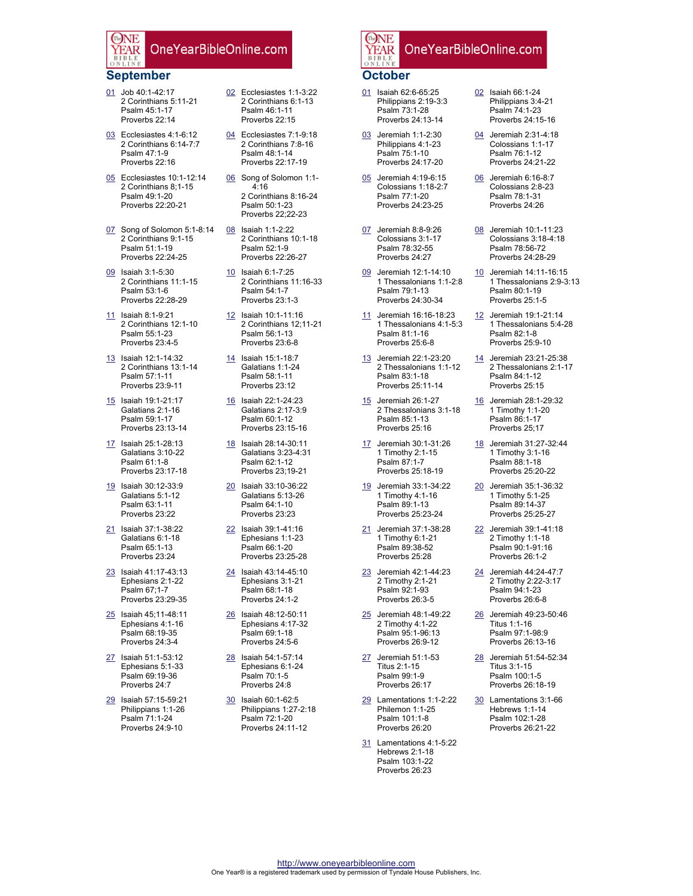### **September**

The NF

- 01 Job 40:1-42:17 2 Corinthians 5:11-21 Psalm 45:1-17 Proverbs 22:14
- 03 Ecclesiastes 4:1-6:12 2 Corinthians 6:14-7:7 Psalm 47:1-9 Proverbs 22:16
- 05 Ecclesiastes 10:1-12:14 2 Corinthians 8;1-15 Psalm 49:1-20 Proverbs 22:20-21
- 07 Song of Solomon 5:1-8:14 2 Corinthians 9:1-15 Psalm 51:1-19 Proverbs 22:24-25
- 09 Isaiah 3:1-5:30 2 Corinthians 11:1-15 Psalm 53:1-6 Proverbs 22:28-29
- 11 Isaiah 8:1-9:21 2 Corinthians 12:1-10 Psalm 55:1-23 Proverbs 23:4-5
- 13 Isaiah 12:1-14:32 2 Corinthians 13:1-14 Psalm 57:1-11 Proverbs 23:9-11
- 15 Isaiah 19:1-21:17 Galatians 2:1-16 Psalm 59:1-17 Proverbs 23:13-14
- 17 Isaiah 25:1-28:13 Galatians 3:10-22 Psalm 61:1-8 Proverbs 23:17-18
- 19 Isaiah 30:12-33:9 Galatians 5:1-12 Psalm 63:1-11 Proverbs 23:22
- 21 Isaiah 37:1-38:22 Galatians 6:1-18 Psalm 65:1-13 Proverbs 23:24
- 23 Isaiah 41:17-43:13 Ephesians 2:1-22 Psalm 67;1-7 Proverbs 23:29-35
- 25 Isaiah 45;11-48:11 Ephesians 4:1-16 Psalm 68:19-35 Proverbs 24:3-4
- 27 Isaiah 51:1-53:12 Ephesians 5:1-33 Psalm 69:19-36 Proverbs 24:7
- 29 Isaiah 57:15-59:21 Philippians 1:1-26 Psalm 71:1-24 Proverbs 24:9-10
- 02 Ecclesiastes 1:1-3:22 2 Corinthians 6:1-13 Psalm 46:1-11 Proverbs 22:15
- 04 Ecclesiastes 7:1-9:18 2 Corinthians 7:8-16 Psalm 48:1-14 Proverbs 22:17-19
- 06 Song of Solomon 1:1- 4:16 2 Corinthians 8:16-24 Psalm 50:1-23 Proverbs 22;22-23
- 08 Isaiah 1:1-2:22 2 Corinthians 10:1-18 Psalm 52:1-9 Proverbs 22:26-27
- 10 Isaiah 6:1-7:25 2 Corinthians 11:16-33 Psalm 54:1-7 Proverbs 23:1-3
- 12 Isaiah 10:1-11:16 2 Corinthians 12;11-21 Psalm 56:1-13 Proverbs 23:6-8
- 14 Isaiah 15:1-18:7 Galatians 1:1-24 Psalm 58:1-11 Proverbs 23:12
- 16 Isaiah 22:1-24:23 Galatians 2:17-3:9 Psalm 60:1-12 Proverbs 23:15-16
- 18 Isaiah 28:14-30:11 Galatians 3:23-4:31 Psalm 62:1-12 Proverbs 23;19-21
- 20 Isaiah 33:10-36:22 Galatians 5:13-26 Psalm 64:1-10 Proverbs 23:23
- 22 Isaiah 39:1-41:16 Ephesians 1:1-23 Psalm 66:1-20 Proverbs 23:25-28
- 24 Isaiah 43:14-45:10 Ephesians 3:1-21 Psalm 68:1-18 Proverbs 24:1-2
- 26 Isaiah 48:12-50:11 Ephesians 4:17-32 Psalm 69:1-18 Proverbs 24:5-6
- 28 Isaiah 54:1-57:14 Ephesians 6:1-24 Psalm 70:1-5 Proverbs 24:8
- 30 Isaiah 60:1-62:5 Philippians 1:27-2:18 Psalm 72:1-20 Proverbs 24:11-12

### The NE OneYearBibleOnline.com **/EAR**

## **October**

- 01 Isaiah 62:6-65:25 Philippians 2:19-3:3 Psalm 73:1-28 Proverbs 24:13-14
- 03 Jeremiah 1:1-2:30 Philippians 4:1-23 Psalm 75:1-10 Proverbs 24:17-20
- 05 Jeremiah 4:19-6:15 Colossians 1:18-2:7 Psalm 77:1-20 Proverbs 24:23-25
- 07 Jeremiah 8:8-9:26 Colossians 3:1-17 Psalm 78:32-55 Proverbs 24:27
- 09 Jeremiah 12:1-14:10 1 Thessalonians 1:1-2:8 Psalm 79:1-13 Proverbs 24:30-34
- 11 Jeremiah 16:16-18:23 1 Thessalonians 4:1-5:3 Psalm 81:1-16 Proverbs 25:6-8
- 13 Jeremiah 22:1-23:20 2 Thessalonians 1:1-12 Psalm 83:1-18 Proverbs 25:11-14
- 15 Jeremiah 26:1-27 2 Thessalonians 3:1-18 Psalm 85:1-13 Proverbs 25:16
- 17 Jeremiah 30:1-31:26 1 Timothy 2:1-15 Psalm 87:1-7 Proverbs 25:18-19
- 19 Jeremiah 33:1-34:22 1 Timothy 4:1-16 Psalm 89:1-13 Proverbs 25:23-24
- 21 Jeremiah 37:1-38:28 1 Timothy 6:1-21 Psalm 89:38-52 Proverbs 25:28
- 23 Jeremiah 42:1-44:23 2 Timothy 2:1-21 Psalm 92:1-93 Proverbs 26:3-5
- 25 Jeremiah 48:1-49:22 2 Timothy 4:1-22 Psalm 95:1-96:13 Proverbs 26:9-12
- 27 Jeremiah 51:1-53 Titus 2:1-15 Psalm 99:1-9 Proverbs 26:17
- 29 Lamentations 1:1-2:22 Philemon 1:1-25 Psalm 101:1-8 Proverbs 26:20
- 31 Lamentations 4:1-5:22 Hebrews 2:1-18 Psalm 103:1-22 Proverbs 26:23
- 02 Isaiah 66:1-24 Philippians 3:4-21 Psalm 74:1-23 Proverbs 24:15-16
- 04 Jeremiah 2:31-4:18 Colossians 1:1-17 Psalm 76:1-12 Proverbs 24:21-22
- 06 Jeremiah 6:16-8:7 Colossians 2:8-23 Psalm 78:1-31 Proverbs 24:26
- 08 Jeremiah 10:1-11:23 Colossians 3:18-4:18 Psalm 78:56-72 Proverbs 24:28-29
- 10 Jeremiah 14:11-16:15 1 Thessalonians 2:9-3:13 Psalm 80:1-19 Proverbs 25:1-5
- 12 Jeremiah 19:1-21:14 1 Thessalonians 5:4-28 Psalm 82:1-8 Proverbs 25:9-10
- 14 Jeremiah 23:21-25:38 2 Thessalonians 2:1-17 Psalm 84:1-12 Proverbs 25:15
- 16 Jeremiah 28:1-29:32 1 Timothy 1:1-20 Psalm 86:1-17 Proverbs 25;17
- 18 Jeremiah 31:27-32:44 1 Timothy 3:1-16 Psalm 88:1-18 Proverbs 25:20-22
- 20 Jeremiah 35:1-36:32 1 Timothy 5:1-25 Psalm 89:14-37 Proverbs 25:25-27
- 22 Jeremiah 39:1-41:18 2 Timothy 1:1-18 Psalm 90:1-91:16 Proverbs 26:1-2
- 24 Jeremiah 44:24-47:7 2 Timothy 2:22-3:17 Psalm 94:1-23 Proverbs 26:6-8
- 26 Jeremiah 49:23-50:46 Titus 1:1-16 Psalm 97:1-98:9 Proverbs 26:13-16
- 28 Jeremiah 51:54-52:34 Titus 3:1-15 Psalm 100:1-5 Proverbs 26:18-19
- 30 Lamentations 3:1-66 Hebrews 1:1-14 Psalm 102:1-28 Proverbs 26:21-22